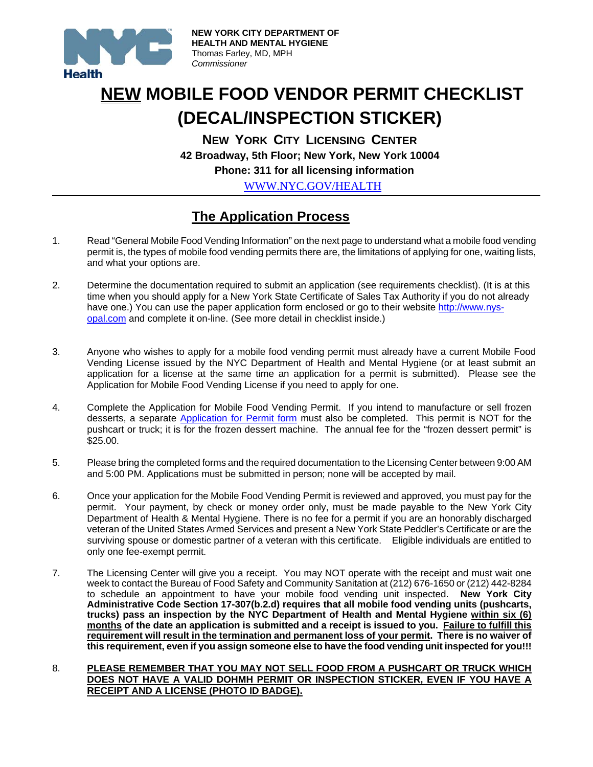

## **NEW MOBILE FOOD VENDOR PERMIT CHECKLIST (DECAL/INSPECTION STICKER)**

 **NEW YORK CITY LICENSING CENTER 42 Broadway, 5th Floor; New York, New York 10004 Phone: 311 for all licensing information** 

WWW.NYC.GOV/HEALTH

### **The Application Process**

- 1. Read "General Mobile Food Vending Information" on the next page to understand what a mobile food vending permit is, the types of mobile food vending permits there are, the limitations of applying for one, waiting lists, and what your options are.
- 2. Determine the documentation required to submit an application (see requirements checklist). (It is at this time when you should apply for a New York State Certificate of Sales Tax Authority if you do not already have one.) You can use the paper application form enclosed or go to their website http://www.nysopal.com and complete it on-line. (See more detail in checklist inside.)
- 3. Anyone who wishes to apply for a mobile food vending permit must already have a current Mobile Food Vending License issued by the NYC Department of Health and Mental Hygiene (or at least submit an application for a license at the same time an application for a permit is submitted). Please see the Application for Mobile Food Vending License if you need to apply for one.
- 4. Complete the Application for Mobile Food Vending Permit. If you intend to manufacture or sell frozen desserts, a separate Application for Permit form must also be completed. This permit is NOT for the pushcart or truck; it is for the frozen dessert machine. The annual fee for the "frozen dessert permit" is \$25.00.
- 5. Please bring the completed forms and the required documentation to the Licensing Center between 9:00 AM and 5:00 PM. Applications must be submitted in person; none will be accepted by mail.
- 6. Once your application for the Mobile Food Vending Permit is reviewed and approved, you must pay for the permit. Your payment, by check or money order only, must be made payable to the New York City Department of Health & Mental Hygiene. There is no fee for a permit if you are an honorably discharged veteran of the United States Armed Services and present a New York State Peddler's Certificate or are the surviving spouse or domestic partner of a veteran with this certificate. Eligible individuals are entitled to only one fee-exempt permit.
- 7. The Licensing Center will give you a receipt. You may NOT operate with the receipt and must wait one week to contact the Bureau of Food Safety and Community Sanitation at (212) 676-1650 or (212) 442-8284 to schedule an appointment to have your mobile food vending unit inspected. **New York City Administrative Code Section 17-307(b.2.d) requires that all mobile food vending units (pushcarts, trucks) pass an inspection by the NYC Department of Health and Mental Hygiene within six (6) months of the date an application is submitted and a receipt is issued to you. Failure to fulfill this requirement will result in the termination and permanent loss of your permit. There is no waiver of this requirement, even if you assign someone else to have the food vending unit inspected for you!!!**
- 8. **PLEASE REMEMBER THAT YOU MAY NOT SELL FOOD FROM A PUSHCART OR TRUCK WHICH DOES NOT HAVE A VALID DOHMH PERMIT OR INSPECTION STICKER, EVEN IF YOU HAVE A RECEIPT AND A LICENSE (PHOTO ID BADGE).**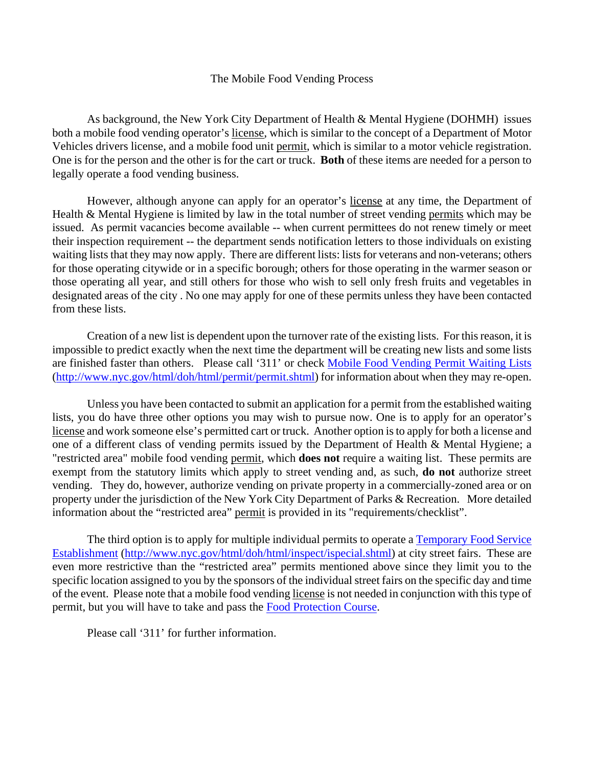#### The Mobile Food Vending Process

 As background, the New York City Department of Health & Mental Hygiene (DOHMH) issues both a mobile food vending operator's license, which is similar to the concept of a Department of Motor Vehicles drivers license, and a mobile food unit permit, which is similar to a motor vehicle registration. One is for the person and the other is for the cart or truck. **Both** of these items are needed for a person to legally operate a food vending business.

 However, although anyone can apply for an operator's license at any time, the Department of Health & Mental Hygiene is limited by law in the total number of street vending permits which may be issued. As permit vacancies become available -- when current permittees do not renew timely or meet their inspection requirement -- the department sends notification letters to those individuals on existing waiting lists that they may now apply. There are different lists: lists for veterans and non-veterans; others for those operating citywide or in a specific borough; others for those operating in the warmer season or those operating all year, and still others for those who wish to sell only fresh fruits and vegetables in designated areas of the city . No one may apply for one of these permits unless they have been contacted from these lists.

Creation of a new list is dependent upon the turnover rate of the existing lists. For this reason, it is impossible to predict exactly when the next time the department will be creating new lists and some lists are finished faster than others. Please call '311' or check Mobile Food Vending Permit Waiting Lists (http://www.nyc.gov/html/doh/html/permit/permit.shtml) for information about when they may re-open.

 Unless you have been contacted to submit an application for a permit from the established waiting lists, you do have three other options you may wish to pursue now. One is to apply for an operator's license and work someone else's permitted cart or truck. Another option is to apply for both a license and one of a different class of vending permits issued by the Department of Health & Mental Hygiene; a "restricted area" mobile food vending permit, which **does not** require a waiting list. These permits are exempt from the statutory limits which apply to street vending and, as such, **do not** authorize street vending. They do, however, authorize vending on private property in a commercially-zoned area or on property under the jurisdiction of the New York City Department of Parks & Recreation. More detailed information about the "restricted area" permit is provided in its "requirements/checklist".

The third option is to apply for multiple individual permits to operate a Temporary Food Service Establishment (http://www.nyc.gov/html/doh/html/inspect/ispecial.shtml) at city street fairs. These are even more restrictive than the "restricted area" permits mentioned above since they limit you to the specific location assigned to you by the sponsors of the individual street fairs on the specific day and time of the event. Please note that a mobile food vending license is not needed in conjunction with this type of permit, but you will have to take and pass the Food Protection Course.

Please call '311' for further information.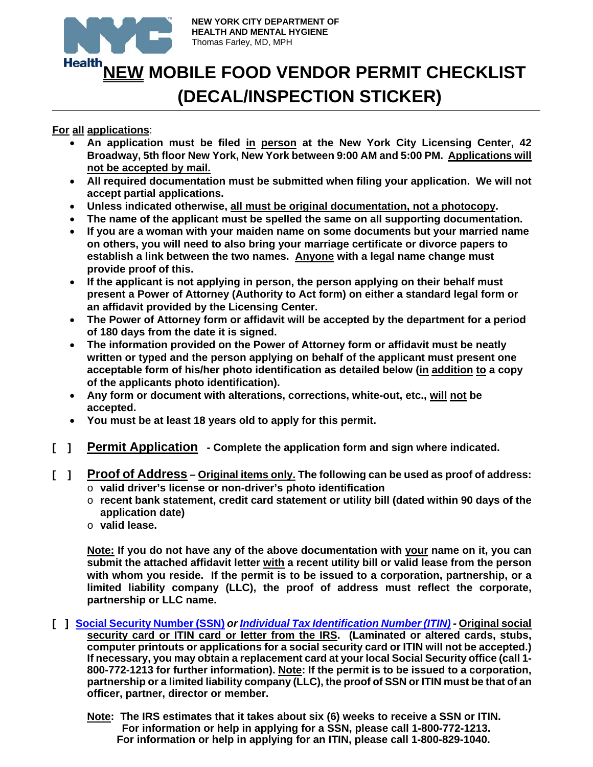

# **Health NEW MOBILE FOOD VENDOR PERMIT CHECKLIST (DECAL/INSPECTION STICKER)**

#### **For all applications**:

- **An application must be filed in person at the New York City Licensing Center, 42 Broadway, 5th floor New York, New York between 9:00 AM and 5:00 PM. Applications will not be accepted by mail.**
- **All required documentation must be submitted when filing your application. We will not accept partial applications.**
- **Unless indicated otherwise, all must be original documentation, not a photocopy.**
- **The name of the applicant must be spelled the same on all supporting documentation.**
- **If you are a woman with your maiden name on some documents but your married name on others, you will need to also bring your marriage certificate or divorce papers to establish a link between the two names. Anyone with a legal name change must provide proof of this.**
- **If the applicant is not applying in person, the person applying on their behalf must present a Power of Attorney (Authority to Act form) on either a standard legal form or an affidavit provided by the Licensing Center.**
- **The Power of Attorney form or affidavit will be accepted by the department for a period of 180 days from the date it is signed.**
- **The information provided on the Power of Attorney form or affidavit must be neatly written or typed and the person applying on behalf of the applicant must present one acceptable form of his/her photo identification as detailed below (in addition to a copy of the applicants photo identification).**
- **Any form or document with alterations, corrections, white-out, etc., will not be accepted.**
- **You must be at least 18 years old to apply for this permit.**
- **[ ] Permit Application Complete the application form and sign where indicated.**
- **[ ] Proof of Address – Original items only. The following can be used as proof of address:**  o **valid driver's license or non-driver's photo identification** 
	- o **recent bank statement, credit card statement or utility bill (dated within 90 days of the application date)**
	- o **valid lease.**

 **Note: If you do not have any of the above documentation with your name on it, you can submit the attached affidavit letter with a recent utility bill or valid lease from the person with whom you reside. If the permit is to be issued to a corporation, partnership, or a limited liability company (LLC), the proof of address must reflect the corporate, partnership or LLC name.** 

- **[ ] Social Security Number (SSN)** *or Individual Tax Identification Number (ITIN)* **Original social security card or ITIN card or letter from the IRS. (Laminated or altered cards, stubs, computer printouts or applications for a social security card or ITIN will not be accepted.) If necessary, you may obtain a replacement card at your local Social Security office (call 1- 800-772-1213 for further information). Note: If the permit is to be issued to a corporation, partnership or a limited liability company (LLC), the proof of SSN or ITIN must be that of an officer, partner, director or member.** 
	- **Note: The IRS estimates that it takes about six (6) weeks to receive a SSN or ITIN. For information or help in applying for a SSN, please call 1-800-772-1213. For information or help in applying for an ITIN, please call 1-800-829-1040.**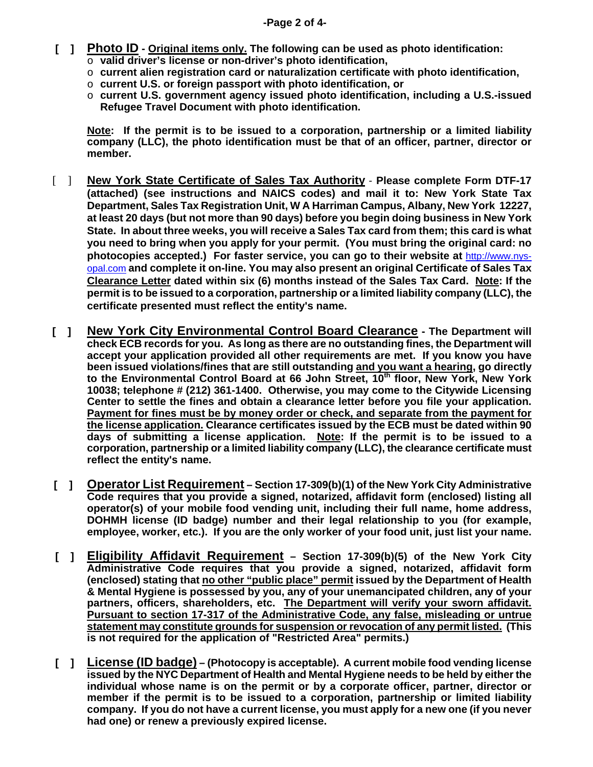- **[ ] Photo ID Original items only. The following can be used as photo identification:** 
	- o **valid driver's license or non-driver's photo identification,**
	- o **current alien registration card or naturalization certificate with photo identification,**
	- o **current U.S. or foreign passport with photo identification, or**
	- o **current U.S. government agency issued photo identification, including a U.S.-issued Refugee Travel Document with photo identification.**

 **Note: If the permit is to be issued to a corporation, partnership or a limited liability company (LLC), the photo identification must be that of an officer, partner, director or member.** 

- [ ] **New York State Certificate of Sales Tax Authority Please complete Form DTF-17 (attached) (see instructions and NAICS codes) and mail it to: New York State Tax Department, Sales Tax Registration Unit, W A Harriman Campus, Albany, New York 12227, at least 20 days (but not more than 90 days) before you begin doing business in New York State. In about three weeks, you will receive a Sales Tax card from them; this card is what you need to bring when you apply for your permit. (You must bring the original card: no photocopies accepted.) For faster service, you can go to their website at** http://www.nysopal.com **and complete it on-line. You may also present an original Certificate of Sales Tax Clearance Letter dated within six (6) months instead of the Sales Tax Card. Note: If the permit is to be issued to a corporation, partnership or a limited liability company (LLC), the certificate presented must reflect the entity's name.**
- **[ ] New York City Environmental Control Board Clearance** The Department will **check ECB records for you. As long as there are no outstanding fines, the Department will accept your application provided all other requirements are met. If you know you have been issued violations/fines that are still outstanding and you want a hearing, go directly**  to the Environmental Control Board at 66 John Street, 10<sup>th</sup> floor, New York, New York **10038; telephone # (212) 361-1400. Otherwise, you may come to the Citywide Licensing Center to settle the fines and obtain a clearance letter before you file your application. Payment for fines must be by money order or check, and separate from the payment for the license application. Clearance certificates issued by the ECB must be dated within 90 days of submitting a license application. Note: If the permit is to be issued to a corporation, partnership or a limited liability company (LLC), the clearance certificate must reflect the entity's name.**
- **[ ] Operator List Requirement Section 17-309(b)(1) of the New York City Administrative Code requires that you provide a signed, notarized, affidavit form (enclosed) listing all operator(s) of your mobile food vending unit, including their full name, home address, DOHMH license (ID badge) number and their legal relationship to you (for example, employee, worker, etc.). If you are the only worker of your food unit, just list your name.**
- **[ ] Eligibility Affidavit Requirement Section 17-309(b)(5) of the New York City Administrative Code requires that you provide a signed, notarized, affidavit form (enclosed) stating that no other "public place" permit issued by the Department of Health & Mental Hygiene is possessed by you, any of your unemancipated children, any of your partners, officers, shareholders, etc. The Department will verify your sworn affidavit. Pursuant to section 17-317 of the Administrative Code, any false, misleading or untrue statement may constitute grounds for suspension or revocation of any permit listed. (This is not required for the application of "Restricted Area" permits.)**
- **[ ] License (ID badge) (Photocopy is acceptable). A current mobile food vending license issued by the NYC Department of Health and Mental Hygiene needs to be held by either the individual whose name is on the permit or by a corporate officer, partner, director or member if the permit is to be issued to a corporation, partnership or limited liability company. If you do not have a current license, you must apply for a new one (if you never had one) or renew a previously expired license.**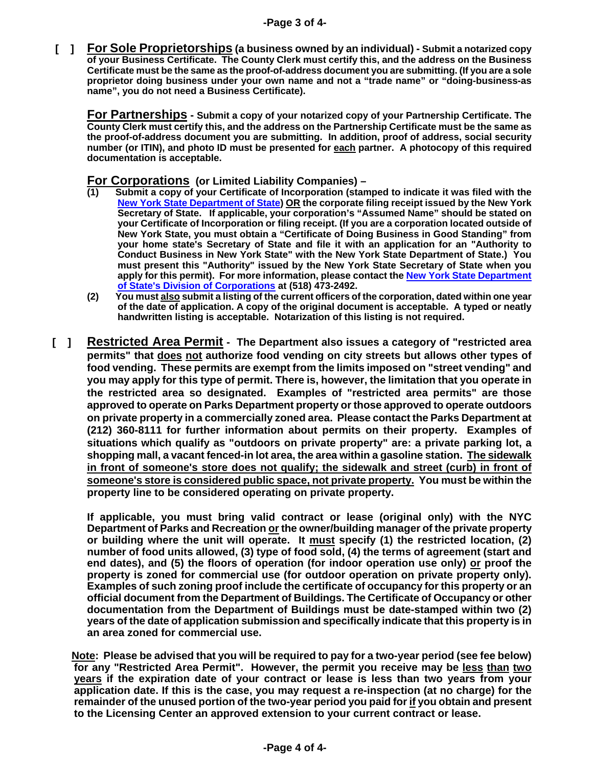*I* **J For Sole Proprietorships (a business owned by an individual) - Submit a notarized copy of your Business Certificate. The County Clerk must certify this, and the address on the Business Certificate must be the same as the proof-of-address document you are submitting. (If you are a sole proprietor doing business under your own name and not a "trade name" or "doing-business-as name", you do not need a Business Certificate).** 

**For Partnerships - Submit a copy of your notarized copy of your Partnership Certificate. The County Clerk must certify this, and the address on the Partnership Certificate must be the same as the proof-of-address document you are submitting. In addition, proof of address, social security number (or ITIN), and photo ID must be presented for each partner. A photocopy of this required documentation is acceptable.** 

**For Corporations (or Limited Liability Companies) –** 

- **(1) Submit a copy of your Certificate of Incorporation (stamped to indicate it was filed with the New York State Department of State) OR the corporate filing receipt issued by the New York Secretary of State. If applicable, your corporation's "Assumed Name" should be stated on your Certificate of Incorporation or filing receipt. (If you are a corporation located outside of New York State, you must obtain a "Certificate of Doing Business in Good Standing" from your home state's Secretary of State and file it with an application for an "Authority to Conduct Business in New York State" with the New York State Department of State.) You must present this "Authority" issued by the New York State Secretary of State when you apply for this permit). For more information, please contact the New York State Department of State's Division of Corporations at (518) 473-2492.**
- **(2) You must also submit a listing of the current officers of the corporation, dated within one year of the date of application. A copy of the original document is acceptable. A typed or neatly handwritten listing is acceptable. Notarization of this listing is not required.**
- **[ ] Restricted Area Permit The Department also issues a category of "restricted area permits" that does not authorize food vending on city streets but allows other types of food vending. These permits are exempt from the limits imposed on "street vending" and you may apply for this type of permit. There is, however, the limitation that you operate in the restricted area so designated. Examples of "restricted area permits" are those approved to operate on Parks Department property or those approved to operate outdoors on private property in a commercially zoned area. Please contact the Parks Department at (212) 360-8111 for further information about permits on their property. Examples of situations which qualify as "outdoors on private property" are: a private parking lot, a shopping mall, a vacant fenced-in lot area, the area within a gasoline station. The sidewalk in front of someone's store does not qualify; the sidewalk and street (curb) in front of someone's store is considered public space, not private property. You must be within the property line to be considered operating on private property.**

**If applicable, you must bring valid contract or lease (original only) with the NYC Department of Parks and Recreation or the owner/building manager of the private property or building where the unit will operate. It must specify (1) the restricted location, (2) number of food units allowed, (3) type of food sold, (4) the terms of agreement (start and end dates), and (5) the floors of operation (for indoor operation use only) or proof the property is zoned for commercial use (for outdoor operation on private property only). Examples of such zoning proof include the certificate of occupancy for this property or an official document from the Department of Buildings. The Certificate of Occupancy or other documentation from the Department of Buildings must be date-stamped within two (2) years of the date of application submission and specifically indicate that this property is in an area zoned for commercial use.** 

 **Note: Please be advised that you will be required to pay for a two-year period (see fee below) for any "Restricted Area Permit". However, the permit you receive may be less than two years if the expiration date of your contract or lease is less than two years from your application date. If this is the case, you may request a re-inspection (at no charge) for the remainder of the unused portion of the two-year period you paid for if you obtain and present to the Licensing Center an approved extension to your current contract or lease.**